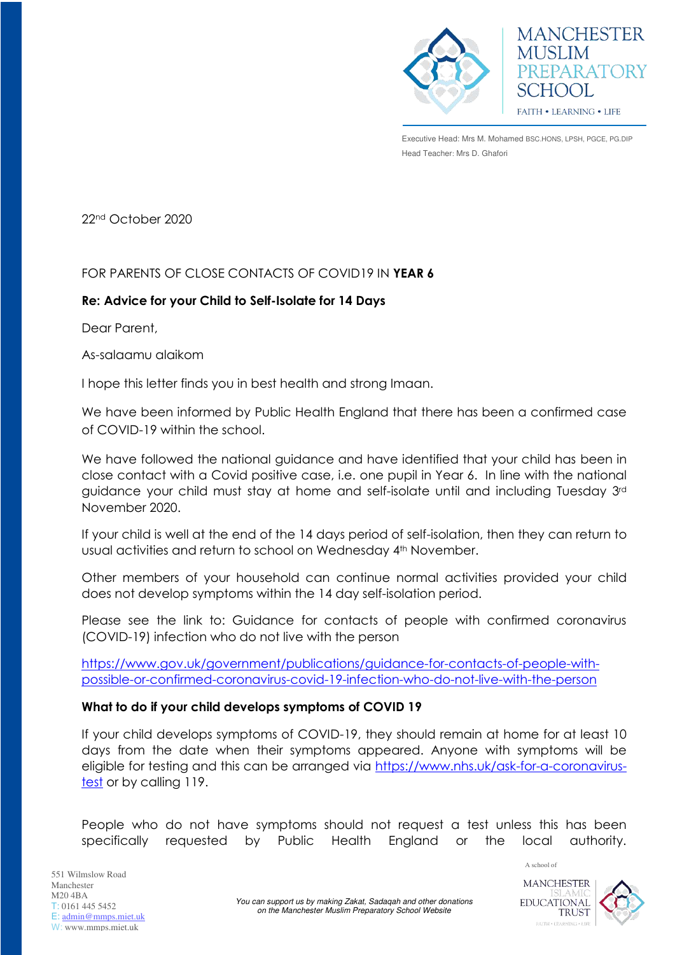

**MANCHESTER MUSLIM** PREPARATORY SCHOOL **FAITH • LEARNING • LIFE** 

Executive Head: Mrs M. Mohamed BSC.HONS, LPSH, PGCE, PG.DIP Head Teacher: Mrs D. Ghafori

22nd October 2020

# FOR PARENTS OF CLOSE CONTACTS OF COVID19 IN **YEAR 6**

# **Re: Advice for your Child to Self-Isolate for 14 Days**

Dear Parent,

As-salaamu alaikom

I hope this letter finds you in best health and strong Imaan.

We have been informed by Public Health England that there has been a confirmed case of COVID-19 within the school.

We have followed the national guidance and have identified that your child has been in close contact with a Covid positive case, i.e. one pupil in Year 6. In line with the national guidance your child must stay at home and self-isolate until and including Tuesday 3rd November 2020.

If your child is well at the end of the 14 days period of self-isolation, then they can return to usual activities and return to school on Wednesday 4th November.

Other members of your household can continue normal activities provided your child does not develop symptoms within the 14 day self-isolation period.

Please see the link to: Guidance for contacts of people with confirmed coronavirus (COVID-19) infection who do not live with the person

[https://www.gov.uk/government/publications/guidance-for-contacts-of-people-with](https://www.gov.uk/government/publications/guidance-for-contacts-of-people-with-possible-or-confirmed-coronavirus-covid-19-infection-who-do-not-live-with-the-person)[possible-or-confirmed-coronavirus-covid-19-infection-who-do-not-live-with-the-person](https://www.gov.uk/government/publications/guidance-for-contacts-of-people-with-possible-or-confirmed-coronavirus-covid-19-infection-who-do-not-live-with-the-person) 

## **What to do if your child develops symptoms of COVID 19**

If your child develops symptoms of COVID-19, they should remain at home for at least 10 days from the date when their symptoms appeared. Anyone with symptoms will be eligible for testing and this can be arranged via [https://www.nhs.uk/ask-for-a-coronavirus](https://www.nhs.uk/ask-for-a-coronavirus-test)[test](https://www.nhs.uk/ask-for-a-coronavirus-test) or by calling 119.

People who do not have symptoms should not request a test unless this has been specifically requested by Public Health England or the local authority.



A school of

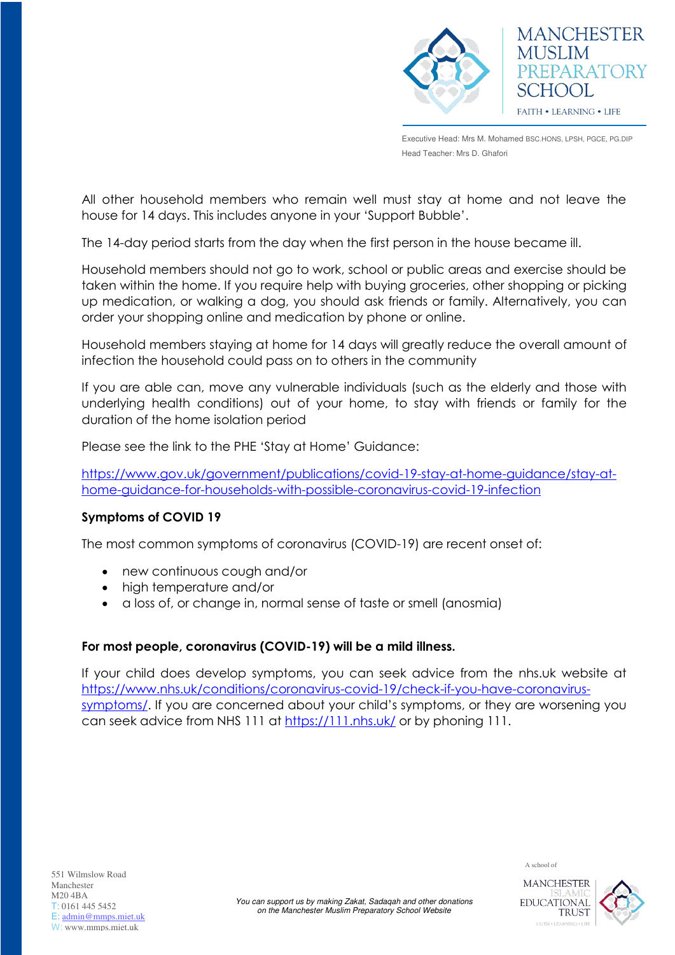

Executive Head: Mrs M. Mohamed BSC.HONS, LPSH, PGCE, PG.DIP Head Teacher: Mrs D. Ghafori

All other household members who remain well must stay at home and not leave the house for 14 days. This includes anyone in your 'Support Bubble'.

The 14-day period starts from the day when the first person in the house became ill.

Household members should not go to work, school or public areas and exercise should be taken within the home. If you require help with buying groceries, other shopping or picking up medication, or walking a dog, you should ask friends or family. Alternatively, you can order your shopping online and medication by phone or online.

Household members staying at home for 14 days will greatly reduce the overall amount of infection the household could pass on to others in the community

If you are able can, move any vulnerable individuals (such as the elderly and those with underlying health conditions) out of your home, to stay with friends or family for the duration of the home isolation period

Please see the link to the PHE 'Stay at Home' Guidance:

[https://www.gov.uk/government/publications/covid-19-stay-at-home-guidance/stay-at](https://www.gov.uk/government/publications/covid-19-stay-at-home-guidance/stay-at-home-guidance-for-households-with-possible-coronavirus-covid-19-infection)[home-guidance-for-households-with-possible-coronavirus-covid-19-infection](https://www.gov.uk/government/publications/covid-19-stay-at-home-guidance/stay-at-home-guidance-for-households-with-possible-coronavirus-covid-19-infection)

## **Symptoms of COVID 19**

The most common symptoms of coronavirus (COVID-19) are recent onset of:

- new continuous cough and/or
- high temperature and/or
- a loss of, or change in, normal sense of taste or smell (anosmia)

## **For most people, coronavirus (COVID-19) will be a mild illness.**

If your child does develop symptoms, you can seek advice from the nhs.uk website at [https://www.nhs.uk/conditions/coronavirus-covid-19/check-if-you-have-coronavirus](https://www.nhs.uk/conditions/coronavirus-covid-19/check-if-you-have-coronavirus-symptoms/)[symptoms/](https://www.nhs.uk/conditions/coronavirus-covid-19/check-if-you-have-coronavirus-symptoms/). If you are concerned about your child's symptoms, or they are worsening you can seek advice from NHS 111 at<https://111.nhs.uk/>or by phoning 111.

A school of